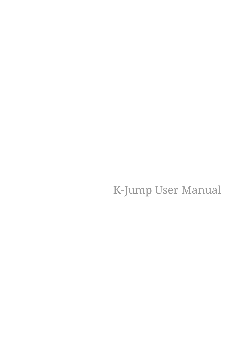K-Jump User Manual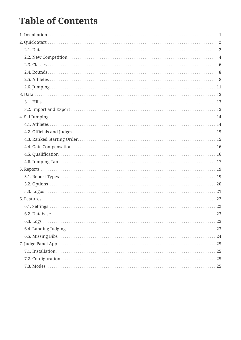# **Table of Contents**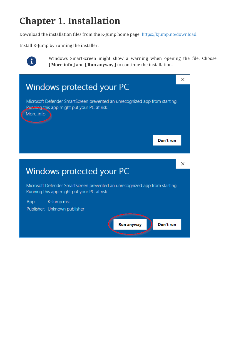# <span id="page-2-0"></span>**Chapter 1. Installation**

Download the installation files from the K-Jump home page:<https://kjump.no/download>.

Install K-Jump by running the installer.



Windows SmartScreen might show a warning when opening the file. Choose **[ More info ]** and **[ Run anyway ]** to continue the installation.

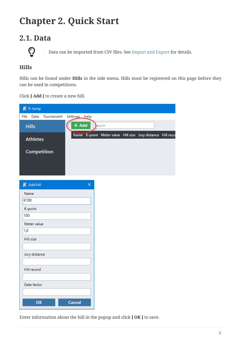# <span id="page-3-0"></span>**Chapter 2. Quick Start**

# <span id="page-3-1"></span>**2.1. Data**



Data can be imported from CSV files. See [Import and Export](#page-14-2) for details.

### **Hills**

Hills can be found under **Hills** in the side menu. Hills must be registered on this page before they can be used in competitions.

Click **[ Add ]** to create a new hill.

| K K-Jump             |               |                                                            |  |  |
|----------------------|---------------|------------------------------------------------------------|--|--|
| File Data Tournament | Settings Help |                                                            |  |  |
| <b>Hills</b>         | $+$ Add       | earch                                                      |  |  |
| <b>Athletes</b>      |               | Name K-point Meter value Hill size Jury distance Hill reco |  |  |
| Competition          |               |                                                            |  |  |
| K Add hill           | $\times$      |                                                            |  |  |
| Name                 |               |                                                            |  |  |
| K100                 |               |                                                            |  |  |
| K-point              |               |                                                            |  |  |
| 100                  |               |                                                            |  |  |
| Meter value          |               |                                                            |  |  |
| 1,8                  |               |                                                            |  |  |
| <b>Hill size</b>     |               |                                                            |  |  |
|                      |               |                                                            |  |  |
| Jury distance        |               |                                                            |  |  |
|                      |               |                                                            |  |  |
| Hill record          |               |                                                            |  |  |
|                      |               |                                                            |  |  |
| Gate factor          |               |                                                            |  |  |
|                      |               |                                                            |  |  |
| OK                   | <b>Cancel</b> |                                                            |  |  |

Enter information about the hill in the popup and click **[ OK ]** to save.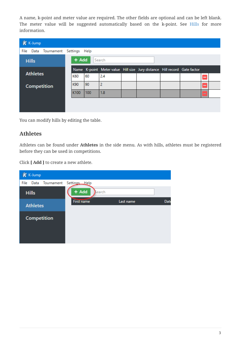A name, k-point and meter value are required. The other fields are optional and can be left blank. The meter value will be suggested automatically based on the k-point. See [Hills](#page-14-1) for more information.

| K K-Jump        |                                    |       |     |                |                                                                          |  |        |  |
|-----------------|------------------------------------|-------|-----|----------------|--------------------------------------------------------------------------|--|--------|--|
|                 | File Data Tournament Settings Help |       |     |                |                                                                          |  |        |  |
| <b>Hills</b>    |                                    | + Add |     | Search         |                                                                          |  |        |  |
|                 |                                    |       |     |                | Name K-point Meter value Hill size Jury distance Hill record Gate factor |  |        |  |
| <b>Athletes</b> |                                    | K60   | 60  | 2.4            |                                                                          |  |        |  |
|                 | <b>Competition</b>                 | K90   | 90  | $\overline{2}$ |                                                                          |  |        |  |
|                 |                                    | K100  | 100 | 1.8            |                                                                          |  | $\sim$ |  |
|                 |                                    |       |     |                |                                                                          |  |        |  |
|                 |                                    |       |     |                |                                                                          |  |        |  |

You can modify hills by editing the table.

### <span id="page-4-0"></span>**Athletes**

Athletes can be found under **Athletes** in the side menu. As with hills, athletes must be registered before they can be used in competitions.

Click **[ Add ]** to create a new athlete.

|      | $K$ K-Jump      |                    |                   |           |      |
|------|-----------------|--------------------|-------------------|-----------|------|
| File | Data            | Tournament         | Settings Help     |           |      |
|      | <b>Hills</b>    |                    | $+$ Add<br>Bearch |           |      |
|      | <b>Athletes</b> |                    | <b>First name</b> | Last name | Date |
|      |                 | <b>Competition</b> |                   |           |      |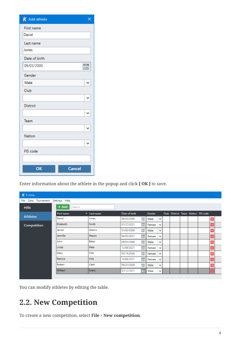| K Add athlete   | ×              |
|-----------------|----------------|
| First name      |                |
| David           |                |
| Last name       |                |
| Jones           |                |
| Date of birth   |                |
| 09/03/2000      | $\frac{1}{15}$ |
| Gender          |                |
| Male            |                |
| Club            |                |
|                 | ◡              |
| <b>District</b> |                |
|                 |                |
| Team            |                |
|                 | ◡              |
| <b>Nation</b>   |                |
|                 | ◡              |
| FIS code        |                |
|                 |                |
| OK              | <b>Cancel</b>  |

Enter information about the athlete in the popup and click **[ OK ]** to save.

| K K-Jump                              |                 |                      |                               |                        |  |  |  |  |                                    |                          |  |  |  |
|---------------------------------------|-----------------|----------------------|-------------------------------|------------------------|--|--|--|--|------------------------------------|--------------------------|--|--|--|
| Data Tournament Settings Help<br>File |                 |                      |                               |                        |  |  |  |  |                                    |                          |  |  |  |
| <b>Hills</b>                          | + Add<br>Search |                      |                               |                        |  |  |  |  |                                    |                          |  |  |  |
| <b>Athletes</b>                       | First name      | $\text{-}$ Last name | Date of birth                 | Gender                 |  |  |  |  | Club District Team Nation FIS code |                          |  |  |  |
|                                       | David           | Jones                | $\overline{15}$<br>09/03/2000 | Male<br>$\checkmark$   |  |  |  |  |                                    | -                        |  |  |  |
| <b>Competition</b>                    | Elizabeth       | Smith                | $\overline{15}$<br>07/27/2021 | Female<br>$\checkmark$ |  |  |  |  |                                    |                          |  |  |  |
|                                       | James           | Adams                | $\frac{1}{15}$<br>01/02/2000  | Male<br>$\checkmark$   |  |  |  |  |                                    | -                        |  |  |  |
|                                       | Jennifer        | Mason                | $\overline{15}$<br>04/05/2021 | Female<br>$\checkmark$ |  |  |  |  |                                    |                          |  |  |  |
|                                       | John            | Baker                | $\frac{1}{15}$<br>06/03/2000  | Male<br>$\checkmark$   |  |  |  |  |                                    |                          |  |  |  |
|                                       | Linda           | Patel                | $\overline{15}$<br>12/08/2021 | Female<br>$\check{~}$  |  |  |  |  |                                    | -                        |  |  |  |
|                                       | Mary            | <b>Hills</b>         | $\overline{15}$<br>05/19/2000 | Female<br>$\checkmark$ |  |  |  |  |                                    | -                        |  |  |  |
|                                       | Patricia        | <b>Hills</b>         | $\overline{15}$<br>10/06/2021 | Female<br>$\check{ }$  |  |  |  |  |                                    | -                        |  |  |  |
|                                       | Robert          | Clark                | $\frac{1}{15}$<br>09/25/2000  | Male<br>$\checkmark$   |  |  |  |  |                                    | -                        |  |  |  |
|                                       | William         | Evans                | $\overline{15}$<br>07/12/2021 | Male<br>$\checkmark$   |  |  |  |  |                                    | $\overline{\phantom{a}}$ |  |  |  |
|                                       |                 |                      |                               |                        |  |  |  |  |                                    |                          |  |  |  |

You can modify athletes by editing the table.

# <span id="page-5-0"></span>**2.2. New Competition**

To create a new competition, select **File › New competition**.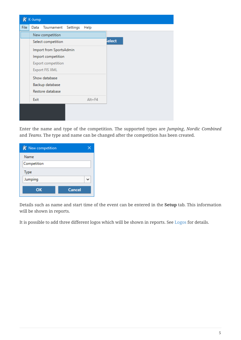|             | K K-Jump |                           |            |       |
|-------------|----------|---------------------------|------------|-------|
| <b>File</b> | Data     | Tournament Settings       | Help       |       |
|             |          | New competition           |            |       |
|             |          | Select competition        |            | elect |
|             |          | Import from SportsAdmin   |            |       |
|             |          | Import competition        |            |       |
|             |          | <b>Export competition</b> |            |       |
|             |          | <b>Export FIS XML</b>     |            |       |
|             |          | Show database             |            |       |
|             |          | Backup database           |            |       |
|             |          | Restore database          |            |       |
|             | Exit     |                           | $Alt + F4$ |       |
|             |          |                           |            |       |
|             |          |                           |            |       |
|             |          |                           |            |       |

Enter the name and type of the competition. The supported types are *Jumping*, *Nordic Combined* and *Teams*. The type and name can be changed after the competition has been created.

| K New competition |               |
|-------------------|---------------|
| Name              |               |
| Competition       |               |
| <b>Type</b>       |               |
| Jumping           |               |
| OK                | <b>Cancel</b> |

Details such as name and start time of the event can be entered in the **Setup** tab. This information will be shown in reports.

It is possible to add three different logos which will be shown in reports. See [Logos](#page-22-0) for details.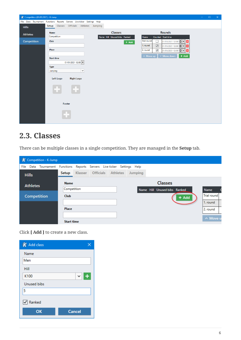| K Competition (01/01/2021) - K-Jump                                      |                   |           |                                        |             |                              |         |                      |                      |                                                                |         | $\qquad \qquad -$ | $\Box$ | $\times$ |
|--------------------------------------------------------------------------|-------------------|-----------|----------------------------------------|-------------|------------------------------|---------|----------------------|----------------------|----------------------------------------------------------------|---------|-------------------|--------|----------|
| File Data Tournament Functions Reports Servers Live-ticker Settings Help |                   |           |                                        |             |                              |         |                      |                      |                                                                |         |                   |        |          |
| <b>Hills</b>                                                             | Setup             |           | Classes Officials Athletes Jumping     |             |                              |         |                      |                      |                                                                |         |                   |        |          |
| <b>Athletes</b>                                                          | <b>Name</b>       |           |                                        |             | Classes                      |         |                      |                      | Rounds                                                         |         |                   |        |          |
|                                                                          | Competition       |           |                                        |             | Name Hill Unused bibs Ranked |         | Name                 |                      | Counted Start time                                             |         |                   |        |          |
| Competition                                                              | <b>Club</b>       |           |                                        |             |                              | $+$ Add | <b>Trial round</b>   | $\Box$               | 01/01/2021 12:00 $\rightarrow \bullet$                         |         |                   |        |          |
|                                                                          | Place             |           |                                        |             |                              |         | 1. round<br>2. round | $\overline{\smile}$  | 01/01/2021 12:00 → ▼                                           | Е       |                   |        |          |
|                                                                          |                   |           |                                        |             |                              |         |                      | $\blacktriangledown$ | 01/01/2021 12:00 $\bigtriangledown$ $\cdot$ $\bigtriangledown$ |         |                   |        |          |
|                                                                          | <b>Start time</b> |           |                                        |             |                              |         | $\land$ Move up      |                      | $\times$ Move down                                             | $+$ Add |                   |        |          |
|                                                                          |                   |           | 01/01/2021 12:00 $\blacktriangleright$ |             |                              |         |                      |                      |                                                                |         |                   |        |          |
|                                                                          | <b>Type</b>       |           |                                        |             |                              |         |                      |                      |                                                                |         |                   |        |          |
|                                                                          | Jumping           |           |                                        | $\check{~}$ |                              |         |                      |                      |                                                                |         |                   |        |          |
|                                                                          |                   | Left Logo | <b>Right Logo</b>                      |             |                              |         |                      |                      |                                                                |         |                   |        |          |
|                                                                          |                   |           |                                        |             |                              |         |                      |                      |                                                                |         |                   |        |          |
|                                                                          |                   |           |                                        |             |                              |         |                      |                      |                                                                |         |                   |        |          |
|                                                                          |                   |           |                                        |             |                              |         |                      |                      |                                                                |         |                   |        |          |
|                                                                          |                   |           |                                        |             |                              |         |                      |                      |                                                                |         |                   |        |          |
|                                                                          |                   |           | Footer                                 |             |                              |         |                      |                      |                                                                |         |                   |        |          |
|                                                                          |                   |           |                                        |             |                              |         |                      |                      |                                                                |         |                   |        |          |
|                                                                          |                   | . T       |                                        |             |                              |         |                      |                      |                                                                |         |                   |        |          |
|                                                                          |                   |           |                                        |             |                              |         |                      |                      |                                                                |         |                   |        |          |
|                                                                          |                   |           |                                        |             |                              |         |                      |                      |                                                                |         |                   |        |          |

# <span id="page-7-0"></span>**2.3. Classes**

There can be multiple classes in a single competition. They are managed in the **Setup** tab.

|      |                 | K Competition - K-Jump    |                   |  |                                           |         |                              |         |                    |
|------|-----------------|---------------------------|-------------------|--|-------------------------------------------|---------|------------------------------|---------|--------------------|
| File |                 | Data Tournament Functions |                   |  | Reports Servers Live-ticker Settings Help |         |                              |         |                    |
|      | <b>Hills</b>    |                           | Setup             |  | Klasser Officials Athletes                | Jumping |                              |         |                    |
|      | <b>Athletes</b> |                           | <b>Name</b>       |  |                                           |         | <b>Classes</b>               |         |                    |
|      |                 |                           | Competition       |  |                                           |         | Name Hill Unused bibs Ranked |         | <b>Name</b>        |
|      |                 | <b>Competition</b>        | <b>Club</b>       |  |                                           |         |                              | $+$ Add | <b>Trial round</b> |
|      |                 |                           |                   |  |                                           |         |                              |         | 1. round           |
|      |                 |                           | Place             |  |                                           |         |                              |         | 2. round           |
|      |                 |                           |                   |  |                                           |         |                              |         | ∧ Move u           |
|      |                 |                           | <b>Start time</b> |  |                                           |         |                              |         |                    |

Click **[ Add ]** to create a new class.

| K Add class        |                     |
|--------------------|---------------------|
| Name               |                     |
| Men                |                     |
| Hill               |                     |
| K100               | $+$<br>$\checkmark$ |
| <b>Unused bibs</b> |                     |
| 5                  |                     |
| Ranked             |                     |
| OK                 | <b>Cancel</b>       |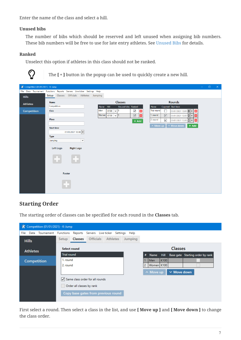Enter the name of the class and select a hill.

#### **Unused bibs**

The number of bibs which should be reserved and left unused when assigning bib numbers. These bib numbers will be free to use for late entry athletes. See [Unused Bibs](#page-15-2) for details.

#### **Ranked**

Unselect this option if athletes in this class should not be ranked.



The  $[+]$  button in the popup can be used to quickly create a new hill.

| K Competition (01/01/2021) - K-Jump                                      |                            |           |                                          |              |     |                              |            |                                    |         |                            |                                 |                                                             |         | $\equiv$ | $\Box$ | $\times$ |
|--------------------------------------------------------------------------|----------------------------|-----------|------------------------------------------|--------------|-----|------------------------------|------------|------------------------------------|---------|----------------------------|---------------------------------|-------------------------------------------------------------|---------|----------|--------|----------|
| File Data Tournament Functions Reports Servers Live-ticker Settings Help |                            |           |                                          |              |     |                              |            |                                    |         |                            |                                 |                                                             |         |          |        |          |
| <b>Hills</b>                                                             |                            |           | Setup Classes Officials Athletes Jumping |              |     |                              |            |                                    |         |                            |                                 |                                                             |         |          |        |          |
| <b>Athletes</b>                                                          | <b>Name</b>                |           |                                          |              |     |                              | Classes    |                                    |         |                            |                                 | Rounds                                                      |         |          |        |          |
| Competition                                                              | Competition<br><b>Club</b> |           |                                          |              | Men | Name Hill<br>$K100$ $\sim$ 5 |            | Unused bibs Ranked<br>$\checkmark$ | н       | Name<br><b>Trial round</b> | □                               | Counted Start time<br>01/01/2021 12:00 $\leftarrow \bullet$ | ۸       |          |        |          |
|                                                                          |                            |           |                                          |              |     | Women K100                   | $\sqrt{5}$ | $\overline{\checkmark}$            | Ξ       | 1. round                   | $\overline{\blacktriangledown}$ | 01/01/2021 12:00 $\leftarrow \bullet$                       | ۸       |          |        |          |
|                                                                          | Place                      |           |                                          |              |     |                              |            |                                    | $+$ Add | 2. round                   | $\blacktriangledown$            | 01/01/2021 12:00 →                                          | Ξ       |          |        |          |
|                                                                          | <b>Start time</b>          |           |                                          |              |     |                              |            |                                    |         | $\land$ Move up            |                                 | $\blacktriangleright$ Move down                             | $+$ Add |          |        |          |
|                                                                          |                            |           | 01/01/2021 12:00 $\blacktriangleright$   |              |     |                              |            |                                    |         |                            |                                 |                                                             |         |          |        |          |
|                                                                          | <b>Type</b><br>Jumping     |           |                                          | $\checkmark$ |     |                              |            |                                    |         |                            |                                 |                                                             |         |          |        |          |
|                                                                          |                            | Left Logo | <b>Right Logo</b>                        |              |     |                              |            |                                    |         |                            |                                 |                                                             |         |          |        |          |
|                                                                          |                            |           | Footer                                   |              |     |                              |            |                                    |         |                            |                                 |                                                             |         |          |        |          |
|                                                                          |                            |           |                                          |              |     |                              |            |                                    |         |                            |                                 |                                                             |         |          |        |          |

### **Starting Order**

The starting order of classes can be specified for each round in the **Classes** tab.

|                    | $K$ Competition (01/01/2021) - K-Jump |                     |                           |                                      |          |  |         |   |                 |      |                    |                                  |  |
|--------------------|---------------------------------------|---------------------|---------------------------|--------------------------------------|----------|--|---------|---|-----------------|------|--------------------|----------------------------------|--|
| File<br>Data       | Tournament                            | Functions           |                           | Reports Servers Live-ticker Settings |          |  | Help    |   |                 |      |                    |                                  |  |
| <b>Hills</b>       |                                       | <b>Setup</b>        | <b>Classes</b>            | <b>Officials</b>                     | Athletes |  | Jumping |   |                 |      |                    |                                  |  |
| <b>Athletes</b>    |                                       | <b>Select round</b> |                           |                                      |          |  |         |   |                 |      | <b>Classes</b>     |                                  |  |
|                    |                                       | <b>Trial round</b>  |                           |                                      |          |  |         | # | Name            | Hill |                    | Base gate Starting order by rank |  |
| <b>Competition</b> |                                       | 1. round            |                           |                                      |          |  |         |   | Men             | K100 |                    |                                  |  |
|                    |                                       | 2. round            |                           |                                      |          |  |         | 2 | Women K100      |      |                    |                                  |  |
|                    |                                       |                     |                           |                                      |          |  |         |   | $\land$ Move up |      | $\times$ Move down |                                  |  |
|                    |                                       |                     |                           | Same class order for all rounds      |          |  |         |   |                 |      |                    |                                  |  |
|                    |                                       |                     | Order all classes by rank |                                      |          |  |         |   |                 |      |                    |                                  |  |
|                    |                                       |                     |                           | Copy base gates from previous round  |          |  |         |   |                 |      |                    |                                  |  |
|                    |                                       |                     |                           |                                      |          |  |         |   |                 |      |                    |                                  |  |

First select a round. Then select a class in the list, and use **[ Move up ]** and **[ Move down ]** to change the class order.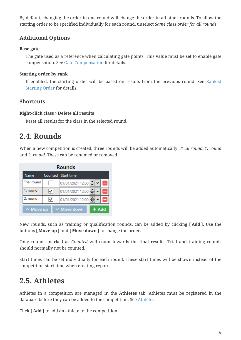By default, changing the order in one round will change the order in all other rounds. To allow the starting order to be specified individually for each round, unselect *Same class order for all rounds*.

## **Additional Options**

#### **Base gate**

The gate used as a reference when calculating gate points. This value must be set to enable gate compensation. See [Gate Compensation](#page-17-0) for details.

### **Starting order by rank**

If enabled, the starting order will be based on results from the previous round. See [Ranked](#page-16-1) [Starting Order](#page-16-1) for details.

### **Shortcuts**

#### **Right-click class › Delete all results**

Reset all results for the class in the selected round.

# <span id="page-9-0"></span>**2.4. Rounds**

When a new competition is created, three rounds will be added automatically: *Trial round*, *1. round* and *2. round*. These can be renamed or removed.

|                    |   | Rounds                            |
|--------------------|---|-----------------------------------|
| <b>Name</b>        |   | Counted Start time                |
| <b>Trial round</b> |   | $\Rightarrow$<br>01/01/2021 12:00 |
| 1. round           | ◡ | ≙<br>01/01/2021 12:00             |
| 2. round           |   | $\triangle$<br>01/01/2021 12:00   |
| $\land$ Move up    |   | $\times$ Move down<br>$+$ Add     |

New rounds, such as training or qualification rounds, can be added by clicking **[ Add ]**. Use the buttons **[ Move up ]** and **[ Move down ]** to change the order.

Only rounds marked as *Counted* will count towards the final results. Trial and training rounds should normally not be counted.

Start times can be set individually for each round. These start times will be shown instead of the competition start time when creating reports.

# <span id="page-9-1"></span>**2.5. Athletes**

Athletes in a competition are managed in the **Athletes** tab. Athletes must be registered in the database before they can be added to the competition. See [Athletes](#page-4-0).

Click **[ Add ]** to add an athlete to the competition.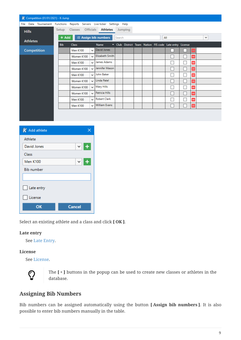| $K$ Competition (01/01/2021) - K-Jump                                    |            |                 |              |                      |        |         |  |                                                         |                          |              |  |
|--------------------------------------------------------------------------|------------|-----------------|--------------|----------------------|--------|---------|--|---------------------------------------------------------|--------------------------|--------------|--|
| File Data Tournament Functions Reports Servers Live-ticker Settings Help |            |                 |              |                      |        |         |  |                                                         |                          |              |  |
| <b>Hills</b>                                                             | Setup      | <b>Classes</b>  |              | Officials Athletes   |        | Jumping |  |                                                         |                          |              |  |
| <b>Athletes</b>                                                          | + Add      |                 |              | E Assign bib numbers | Search |         |  | All                                                     |                          | $\checkmark$ |  |
|                                                                          | <b>Bib</b> | <b>Class</b>    |              | <b>Name</b>          |        |         |  | - Club District Team Nation FIS code Late entry License |                          |              |  |
| <b>Competition</b>                                                       |            | <b>Men K100</b> | $\checkmark$ | David Jones          |        |         |  |                                                         | $\overline{\phantom{a}}$ |              |  |
|                                                                          |            | Women K100      | $\check{ }$  | Elizabeth Smith      |        |         |  |                                                         | H                        |              |  |
|                                                                          |            | <b>Men K100</b> | $\check{ }$  | James Adams          |        |         |  |                                                         | -                        |              |  |
|                                                                          |            | Women K100      | $\check{ }$  | Jennifer Mason       |        |         |  |                                                         | -                        |              |  |
|                                                                          |            | <b>Men K100</b> | $\checkmark$ | John Baker           |        |         |  |                                                         | н                        |              |  |
|                                                                          |            | Women K100      | $\check{ }$  | Linda Patel          |        |         |  |                                                         | Е                        |              |  |
|                                                                          |            | Women K100      | $\check{ }$  | Mary Hills           |        |         |  |                                                         | н                        |              |  |
|                                                                          |            | Women K100      | $\checkmark$ | Patricia Hills       |        |         |  |                                                         | -                        |              |  |
|                                                                          |            | <b>Men K100</b> | $\checkmark$ | <b>Robert Clark</b>  |        |         |  |                                                         | Ξ                        |              |  |
|                                                                          |            | <b>Men K100</b> | $\check{ }$  | <b>William Evans</b> |        |         |  |                                                         | Е                        |              |  |
|                                                                          |            |                 |              |                      |        |         |  |                                                         |                          |              |  |

| K Add athlete     |               |
|-------------------|---------------|
| Athlete           |               |
| David Jones       | ◡∥<br>÷       |
| Class             |               |
| <b>Men K100</b>   | ◡             |
| <b>Bib number</b> |               |
|                   |               |
| Late entry        |               |
| License           |               |
| ОΚ                | <b>Cancel</b> |

Select an existing athlete and a class and click **[ OK ]**.

#### **Late entry**

See [Late Entry](#page-15-3).

#### **License**

See [License.](#page-15-4)



The **[ + ]** buttons in the popup can be used to create new classes or athletes in the database.

### **Assigning Bib Numbers**

Bib numbers can be assigned automatically using the button **[ Assign bib numbers ]**. It is also possible to enter bib numbers manually in the table.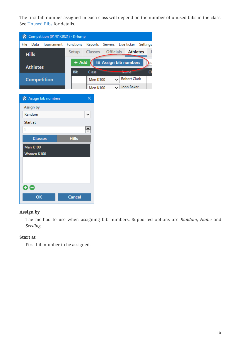The first bib number assigned in each class will depend on the number of unused bibs in the class. See [Unused Bibs](#page-15-2) for details.

|          |                 | $K$ Competition (01/01/2021) - K-Jump |                  |                                         |                                    |           |              |                                            |                 |          |
|----------|-----------------|---------------------------------------|------------------|-----------------------------------------|------------------------------------|-----------|--------------|--------------------------------------------|-----------------|----------|
| File     | Data            | Tournament                            | <b>Functions</b> |                                         | Reports                            | Servers   |              | Live ticker                                |                 | Settings |
|          | <b>Hills</b>    |                                       | Setup            | <b>Classes</b>                          |                                    | Officials |              |                                            | <b>Athletes</b> | J        |
|          | <b>Athletes</b> |                                       | $+$ Add          |                                         |                                    |           |              | E Assign bib numbers                       |                 | lea      |
|          |                 | <b>Competition</b>                    | <b>Bib</b>       | <b>Class</b>                            | <b>Men K100</b><br><b>Men K100</b> |           | $\checkmark$ | ivame<br><b>Robert Clark</b><br>John Baker |                 | C1       |
|          |                 | $\boldsymbol{K}$ Assign bib numbers   |                  | $\times$                                |                                    |           |              |                                            |                 |          |
|          | Assign by       |                                       |                  |                                         |                                    |           |              |                                            |                 |          |
|          | Random          |                                       |                  | ◡                                       |                                    |           |              |                                            |                 |          |
| Start at |                 |                                       |                  |                                         |                                    |           |              |                                            |                 |          |
| 1        |                 |                                       |                  | $\stackrel{\blacktriangle}{\Downarrow}$ |                                    |           |              |                                            |                 |          |
|          | <b>Classes</b>  |                                       | <b>Hills</b>     |                                         |                                    |           |              |                                            |                 |          |
|          | <b>Men K100</b> |                                       |                  |                                         |                                    |           |              |                                            |                 |          |
|          | Women K100      |                                       |                  |                                         |                                    |           |              |                                            |                 |          |
|          |                 |                                       |                  |                                         |                                    |           |              |                                            |                 |          |
|          |                 |                                       |                  |                                         |                                    |           |              |                                            |                 |          |
|          |                 |                                       |                  |                                         |                                    |           |              |                                            |                 |          |
| Ð A      |                 |                                       |                  |                                         |                                    |           |              |                                            |                 |          |
|          | OK              |                                       | <b>Cancel</b>    |                                         |                                    |           |              |                                            |                 |          |

#### **Assign by**

The method to use when assigning bib numbers. Supported options are *Random*, *Name* and *Seeding*.

#### **Start at**

First bib number to be assigned.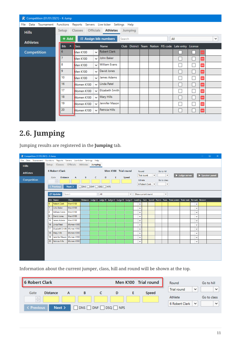| $K$ Competition (01/01/2021) - K-Jump |            |       |                 |                  |                                           |        |                |  |                                                       |        |                          |              |
|---------------------------------------|------------|-------|-----------------|------------------|-------------------------------------------|--------|----------------|--|-------------------------------------------------------|--------|--------------------------|--------------|
| Data<br>File<br>Tournament Functions  |            |       |                 |                  | Reports Servers Live-ticker Settings Help |        |                |  |                                                       |        |                          |              |
| <b>Hills</b>                          | Setup      |       | Classes         | <b>Officials</b> | <b>Athletes</b>                           |        | <b>Jumping</b> |  |                                                       |        |                          |              |
| <b>Athletes</b>                       |            | + Add |                 |                  | i≡ Assign bib numbers                     | Search |                |  | All                                                   |        |                          | $\checkmark$ |
|                                       | <b>Bib</b> | ×     | <b>Class</b>    |                  | <b>Name</b>                               |        |                |  | Club District Team Nation FIS code Late entry License |        |                          |              |
| <b>Competition</b>                    | 6          |       | <b>Men K100</b> | $\checkmark$     | <b>Robert Clark</b>                       |        |                |  |                                                       |        |                          |              |
|                                       |            |       | <b>Men K100</b> | $\checkmark$     | John Baker                                |        |                |  |                                                       | n a    | -                        |              |
|                                       | 8          |       | <b>Men K100</b> | $\checkmark$     | <b>William Evans</b>                      |        |                |  |                                                       | s.     | -                        |              |
|                                       | 9          |       | <b>Men K100</b> | $\checkmark$     | David Jones                               |        |                |  |                                                       | H      |                          |              |
|                                       | 10         |       | <b>Men K100</b> | $\checkmark$     | James Adams                               |        |                |  |                                                       | π      | -                        |              |
|                                       | 16         |       | Women K100      | $\checkmark$     | Linda Patel                               |        |                |  |                                                       | $\sim$ | -                        |              |
|                                       | 17         |       | Women K100      | $\checkmark$     | <b>Elizabeth Smith</b>                    |        |                |  |                                                       | $\sim$ | -                        |              |
|                                       | 18         |       | Women K100      | $\checkmark$     | Mary Hills                                |        |                |  |                                                       |        | -                        |              |
|                                       | 19         |       | Women K100      | $\checkmark$     | Jennifer Mason                            |        |                |  |                                                       |        | -                        |              |
|                                       | 20         |       | Women K100      | $\checkmark$     | Patricia Hills                            |        |                |  |                                                       |        | $\overline{\phantom{0}}$ |              |
|                                       |            |       |                 |                  |                                           |        |                |  |                                                       |        |                          |              |

# <span id="page-12-0"></span>**2.6. Jumping**

Jumping results are registered in the **Jumping** tab.

| $K$ Competition (01/01/2021) - K-Jump                                    |              |                                                  |                           |                               |     |                      |   |             |              |                             |                  |                            |                                                                                                                       |              |              | $\rightarrow$ | $\Box$ | $\times$ |
|--------------------------------------------------------------------------|--------------|--------------------------------------------------|---------------------------|-------------------------------|-----|----------------------|---|-------------|--------------|-----------------------------|------------------|----------------------------|-----------------------------------------------------------------------------------------------------------------------|--------------|--------------|---------------|--------|----------|
| File Data Tournament Functions Reports Servers Live-ticker Settings Help |              |                                                  |                           |                               |     |                      |   |             |              |                             |                  |                            |                                                                                                                       |              |              |               |        |          |
| <b>Hills</b>                                                             |              | Setup Classes Officials Athletes Jumping         |                           |                               |     |                      |   |             |              |                             |                  |                            |                                                                                                                       |              |              |               |        |          |
| <b>Athletes</b>                                                          |              | <b>6 Robert Clark</b>                            |                           |                               |     | Men K100 Trial round |   |             |              | Round<br><b>Trial round</b> | $\checkmark$     | Go to hill<br>$\checkmark$ |                                                                                                                       | Judge server |              | Speaker panel |        |          |
| Competition                                                              |              | <b>Distance</b><br>Gate<br>$\frac{\wedge}{\vee}$ | $A$ and $A$               | B <sub>c</sub> C <sub>c</sub> | D   |                      | Ε | Speed       |              | Athlete                     |                  | Go to class                |                                                                                                                       |              |              |               |        |          |
|                                                                          |              | < Previous                                       | Next >                    |                               |     |                      |   |             |              |                             | 6 Robert Clark V | $\checkmark$               |                                                                                                                       |              |              |               |        |          |
|                                                                          |              | <b>C</b> Update                                  | Search                    |                               | All |                      |   | $\check{~}$ |              | Show current round          |                  | $\check{~}$                |                                                                                                                       |              |              |               |        |          |
|                                                                          |              | <b>Bib</b> Name                                  | Class                     |                               |     |                      |   |             |              |                             |                  |                            | Distance Judge A Judge B Judge C Judge D Judge E Landing Gate Speed Points Rank Total points Total rank Remark Reason |              |              |               |        |          |
|                                                                          | 6            | Robert Clark                                     | Men K100                  |                               |     |                      |   |             | $\checkmark$ |                             |                  |                            |                                                                                                                       |              | $\check{~}$  |               |        |          |
|                                                                          |              | John Baker                                       | Men K100                  |                               |     |                      |   |             | $\checkmark$ |                             |                  |                            |                                                                                                                       |              | $\check{ }$  |               |        |          |
|                                                                          | 8            | <b>William Evans</b>                             | <b>Men K100</b>           |                               |     |                      |   |             | $\checkmark$ |                             |                  |                            |                                                                                                                       |              | $\check{ }$  |               |        |          |
|                                                                          | <sup>9</sup> | David Jones                                      | Men K100                  |                               |     |                      |   |             | $\checkmark$ |                             |                  |                            |                                                                                                                       |              | $\checkmark$ |               |        |          |
|                                                                          | 10           | James Adams                                      | <b>Men K100</b>           |                               |     |                      |   |             | $\check{ }$  |                             |                  |                            |                                                                                                                       |              | $\check{~}$  |               |        |          |
|                                                                          | 16           | Linda Patel                                      | Women K100                |                               |     |                      |   |             | $\checkmark$ |                             |                  |                            |                                                                                                                       |              | $\check{ }$  |               |        |          |
|                                                                          | 17           | Elizabeth Smith Women K100                       |                           |                               |     |                      |   |             | $\checkmark$ |                             |                  |                            |                                                                                                                       |              | $\checkmark$ |               |        |          |
|                                                                          | 18           | Mary Hills                                       | Women K100                |                               |     |                      |   |             | $\checkmark$ |                             |                  |                            |                                                                                                                       |              | $\checkmark$ |               |        |          |
|                                                                          | 19           |                                                  | Jennifer Mason Women K100 |                               |     |                      |   |             | $\checkmark$ |                             |                  |                            |                                                                                                                       |              | $\check{~}$  |               |        |          |
|                                                                          | 20           | Patricia Hills                                   | Women K100                |                               |     |                      |   |             | $\checkmark$ |                             |                  |                            |                                                                                                                       |              | $\check{ }$  |               |        |          |
|                                                                          |              |                                                  |                           |                               |     |                      |   |             |              |                             |                  |                            |                                                                                                                       |              |              |               |        |          |
|                                                                          |              |                                                  |                           |                               |     |                      |   |             |              |                             |                  |                            |                                                                                                                       |              |              |               |        |          |
|                                                                          |              |                                                  |                           |                               |     |                      |   |             |              |                             |                  |                            |                                                                                                                       |              |              |               |        |          |
|                                                                          |              |                                                  |                           |                               |     |                      |   |             |              |                             |                  |                            |                                                                                                                       |              |              |               |        |          |

Information about the current jumper, class, hill and round will be shown at the top.

| <b>6 Robert Clark</b>                 |   |     |             | Men K100 Trial round | Round                              | Go to hill   |
|---------------------------------------|---|-----|-------------|----------------------|------------------------------------|--------------|
| <b>Distance</b><br>Gate               | A | в   | D           | Speed                | <b>Trial round</b><br>$\checkmark$ | $\checkmark$ |
| $\mathcal{A}_{\mathcal{N}}$<br>$\sim$ |   |     |             |                      | Athlete                            | Go to class  |
| Next ><br>< Previous                  |   | DNS | DNF DSQ NPS |                      | 6 Robert Clark<br>$\check{ }$      | $\checkmark$ |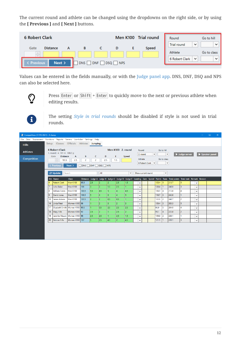The current round and athlete can be changed using the dropdowns on the right side, or by using the **[ Previous ]** and **[ Next ]** buttons.

| <b>6 Robert Clark</b>         |                 |            |     |                   | Men K100 Trial round | Round                              | Go to hill   |
|-------------------------------|-----------------|------------|-----|-------------------|----------------------|------------------------------------|--------------|
| Gate                          | <b>Distance</b> |            |     |                   | Speed                | <b>Trial round</b><br>$\checkmark$ | $\checkmark$ |
| $\mathcal{A}_n$<br>To all the |                 |            |     |                   |                      | Athlete                            | Go to class  |
| <b>Previous</b>               | Next >          | <b>DNS</b> | DNF | <b>NPS</b><br>DSQ |                      | 6 Robert Clark<br>$\checkmark$     | $\check{ }$  |

Values can be entered in the fields manually, or with the [Judge panel app](#page-26-0). DNS, DNF, DSQ and NPS can also be selected here.

 $\overline{O}$ 

Press Enter or Shift + Enter to quickly move to the next or previous athlete when editing results.

 $\mathbf{f}$ 

The setting *[Style in trial rounds](#page-23-2)* should be disabled if style is not used in trial rounds.

| $K$ Competition (01/01/2021) - K-Jump                                    |                |                                                          |                      |                                             |                   |                |                |                   |                |                   |                    |              |       |                           |                                                                                                                       |                |               | $\Box$ | $\propto$ |
|--------------------------------------------------------------------------|----------------|----------------------------------------------------------|----------------------|---------------------------------------------|-------------------|----------------|----------------|-------------------|----------------|-------------------|--------------------|--------------|-------|---------------------------|-----------------------------------------------------------------------------------------------------------------------|----------------|---------------|--------|-----------|
| File Data Tournament Functions Reports Servers Live-ticker Settings Help |                |                                                          |                      |                                             |                   |                |                |                   |                |                   |                    |              |       |                           |                                                                                                                       |                |               |        |           |
| <b>Hills</b>                                                             |                | Setup Classes Officials Athletes Jumping                 |                      |                                             |                   |                |                |                   |                |                   |                    |              |       |                           |                                                                                                                       |                |               |        |           |
| <b>Athletes</b>                                                          |                | <b>6 Robert Clark</b><br>1. round: 4. 101 m 108.3 p      |                      |                                             |                   |                |                | Men K100 2. round |                | Round<br>2. round |                    | $\checkmark$ |       | Go to hill<br>$\check{~}$ |                                                                                                                       | Judge server   | Speaker panel |        |           |
| <b>Competition</b>                                                       |                | <b>Distance</b><br>Gate<br>$\frac{\wedge}{\vee}$<br>95.5 | $\mathsf{A}$<br>2.5  | В<br>2                                      | $\mathsf{C}$<br>2 | D<br>2.5       |                | Ε<br>1.5          | Speed          | Athlete           |                    |              |       | Go to class               |                                                                                                                       |                |               |        |           |
|                                                                          |                | < Previous                                               | Next >               | $\Box$ DNS $\Box$ DNF $\Box$ DSQ $\Box$ NPS |                   |                |                |                   |                |                   | 6 Robert Clark     | $\checkmark$ |       | $\check{~}$               |                                                                                                                       |                |               |        |           |
|                                                                          |                |                                                          |                      |                                             |                   |                |                |                   |                |                   |                    |              |       |                           |                                                                                                                       |                |               |        |           |
|                                                                          |                | <b>C</b> Update                                          | Search               |                                             |                   | All            |                |                   | $\checkmark$   |                   | Show current round |              |       | $\check{~}$               |                                                                                                                       |                |               |        |           |
|                                                                          |                | <b>Bib</b> Name                                          | <b>Class</b>         |                                             |                   |                |                |                   |                |                   |                    |              |       |                           | Distance Judge A Judge B Judge C Judge D Judge E Landing Gate Speed Points Rank Total points Total rank Remark Reason |                |               |        |           |
|                                                                          | 6              | <b>Robert Clark</b>                                      | Men K100             | 95.5                                        | 2.5               |                | $\overline{2}$ | 2.5               | 1.5            | $\checkmark$      |                    |              | 105.4 | 15.                       | 213.7                                                                                                                 | 5              | $\checkmark$  |        |           |
|                                                                          | $\overline{7}$ | John Baker                                               | <b>Men K100</b>      | 108                                         | $\overline{3}$    | $\overline{2}$ | 1.5            | 2.5               |                | $\checkmark$      |                    |              | 128.4 | l 1                       | 240.0                                                                                                                 | $\overline{3}$ | $\checkmark$  |        |           |
|                                                                          | 8              | <b>William Evans</b>                                     | <b>Men K100</b>      | 100.5                                       | 5.5               | 4.5            | 5              | $\overline{A}$    | 4.5            | $\checkmark$      |                    |              | 106.9 | 14                        | 213.8                                                                                                                 | 4              | $\checkmark$  |        |           |
|                                                                          | ا و            | David Jones                                              | <b>Men K100</b>      | 106.5                                       | 5                 | $\Delta$       | $\overline{3}$ | $\overline{4}$    | 5.             | $\checkmark$      |                    |              | 118.7 | 13.                       | 242.8                                                                                                                 | $\mathbf{1}$   | $\checkmark$  |        |           |
|                                                                          | 10             | James Adams                                              | <b>Men K100</b>      | 103.5                                       | $\overline{z}$    | $\overline{2}$ | 0.5            | 0.5               |                | $\checkmark$      |                    |              | 122.8 | 12                        | 240.7                                                                                                                 | $\overline{2}$ | $\checkmark$  |        |           |
|                                                                          | 16             | Linda Patel                                              | <b>Women K100 98</b> |                                             |                   | $\overline{2}$ | $\overline{3}$ | $\overline{2}$    | B.             | $\checkmark$      |                    |              | 109.4 | lз                        | 203.3                                                                                                                 | 5 <sup>5</sup> | $\checkmark$  |        |           |
|                                                                          | 17             | Elizabeth Smith Women K100 90.5                          |                      |                                             |                   | 0.5            | 2.5            | 2.5               | 2.5            | $\checkmark$      |                    |              | 96.9  | 15                        | 204.0                                                                                                                 | 4              | $\checkmark$  |        |           |
|                                                                          | 18             | Mary Hills                                               | <b>Women K100 92</b> |                                             | 2.5               | 2              |                | 2.5               | $\overline{z}$ | $\checkmark$      |                    |              | 99.1  | $\overline{4}$            | 223.8                                                                                                                 | $\overline{2}$ | $\checkmark$  |        |           |
|                                                                          | 19             | Jennifer Mason   Women K100 98                           |                      |                                             | 2.5               | 2.5            |                | 2.5               | 1.5            | $\checkmark$      |                    |              | 109.9 | 12.                       | 226.1                                                                                                                 | 1.             | $\checkmark$  |        |           |
|                                                                          | 20             | Patricia Hills                                           | Women K100 107       |                                             | 5 <sub>1</sub>    | 2.5            | 4.5            | $\overline{2}$    | 4.5            | $\checkmark$      |                    |              | 121.1 | I1                        | 220.1                                                                                                                 | $\overline{3}$ | $\checkmark$  |        |           |
|                                                                          |                |                                                          |                      |                                             |                   |                |                |                   |                |                   |                    |              |       |                           |                                                                                                                       |                |               |        |           |
|                                                                          |                |                                                          |                      |                                             |                   |                |                |                   |                |                   |                    |              |       |                           |                                                                                                                       |                |               |        |           |
|                                                                          |                |                                                          |                      |                                             |                   |                |                |                   |                |                   |                    |              |       |                           |                                                                                                                       |                |               |        |           |
|                                                                          |                |                                                          |                      |                                             |                   |                |                |                   |                |                   |                    |              |       |                           |                                                                                                                       |                |               |        |           |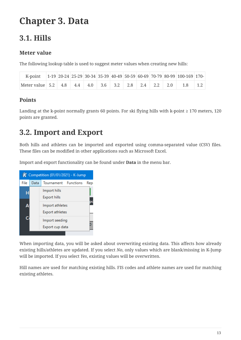# <span id="page-14-0"></span>**Chapter 3. Data**

# <span id="page-14-1"></span>**3.1. Hills**

### **Meter value**

The following lookup table is used to suggest meter values when creating new hills:

| K-point 1-19 20-24 25-29 30-34 35-39 40-49 50-59 60-69 70-79 80-99 100-169 170- |  |  |  |  |  |  |
|---------------------------------------------------------------------------------|--|--|--|--|--|--|
| Meter value 5.2 4.8 4.4 4.0 3.6 3.2 2.8 2.4 2.2 2.0 1.8 1.2                     |  |  |  |  |  |  |

### **Points**

Landing at the k-point normally grants 60 points. For ski flying hills with k-point ≥ 170 meters, 120 points are granted.

# <span id="page-14-2"></span>**3.2. Import and Export**

Both hills and athletes can be imported and exported using comma-separated value (CSV) files. These files can be modified in other applications such as Microsoft Excel.

Import and export functionality can be found under **Data** in the menu bar.



When importing data, you will be asked about overwriting existing data. This affects how already existing hills/athletes are updated. If you select *No*, only values which are blank/missing in K-Jump will be imported. If you select *Yes*, existing values will be overwritten.

Hill names are used for matching existing hills. FIS codes and athlete names are used for matching existing athletes.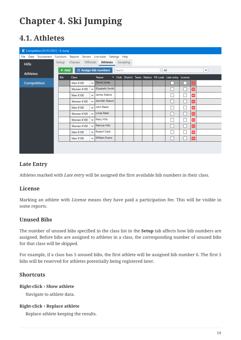# <span id="page-15-0"></span>**Chapter 4. Ski Jumping**

# <span id="page-15-1"></span>**4.1. Athletes**

| $K$ Competition (01/01/2021) - K-Jump                                       |            |                 |              |                      |        |         |  |                                                         |                          |                          |              |  |
|-----------------------------------------------------------------------------|------------|-----------------|--------------|----------------------|--------|---------|--|---------------------------------------------------------|--------------------------|--------------------------|--------------|--|
| Data Tournament Functions Reports Servers Live-ticker Settings Help<br>File |            |                 |              |                      |        |         |  |                                                         |                          |                          |              |  |
| <b>Hills</b>                                                                | Setup      | <b>Classes</b>  |              | Officials Athletes   |        | Jumping |  |                                                         |                          |                          |              |  |
| <b>Athletes</b>                                                             |            | + Add           |              | E Assign bib numbers | Search |         |  | All                                                     |                          |                          | $\checkmark$ |  |
|                                                                             | <b>Bib</b> | <b>Class</b>    |              | Name                 |        |         |  | - Club District Team Nation FIS code Late entry License |                          |                          |              |  |
| <b>Competition</b>                                                          |            | <b>Men K100</b> |              | David Jones          |        |         |  |                                                         |                          | $\overline{\phantom{0}}$ |              |  |
|                                                                             |            | Women K100      |              | Elizabeth Smith      |        |         |  |                                                         | $\overline{\phantom{a}}$ | н                        |              |  |
|                                                                             |            | <b>Men K100</b> | ◡            | James Adams          |        |         |  |                                                         | L.                       | н                        |              |  |
|                                                                             |            | Women K100      | ◡∥           | Jennifer Mason       |        |         |  |                                                         | a s                      | н                        |              |  |
|                                                                             |            | <b>Men K100</b> | $\vee$       | John Baker           |        |         |  |                                                         | ×                        | Ξ                        |              |  |
|                                                                             |            | Women K100      |              | Ullinda Patel        |        |         |  |                                                         | $\Box$                   | Е                        |              |  |
|                                                                             |            | Women K100      | $\vee$       | <b>Mary Hills</b>    |        |         |  | Ξ                                                       | $\overline{\phantom{a}}$ | Ξ                        |              |  |
|                                                                             |            | Women K100      | $\vee$       | Patricia Hills       |        |         |  |                                                         | L.                       | ÷                        |              |  |
|                                                                             |            | <b>Men K100</b> | $\checkmark$ | <b>Robert Clark</b>  |        |         |  |                                                         | a s                      | Н                        |              |  |
|                                                                             |            | <b>Men K100</b> | $\vee$       | <b>William Evans</b> |        |         |  |                                                         |                          | H                        |              |  |
|                                                                             |            |                 |              |                      |        |         |  |                                                         |                          |                          |              |  |
|                                                                             |            |                 |              |                      |        |         |  |                                                         |                          |                          |              |  |

### <span id="page-15-3"></span>**Late Entry**

Athletes marked with *Late entry* will be assigned the first available bib numbers in their class.

### <span id="page-15-4"></span>**License**

Marking an athlete with *License* means they have paid a participation fee. This will be visible in some reports.

### <span id="page-15-2"></span>**Unused Bibs**

The number of unused bibs specified in the class list in the **Setup** tab affects how bib numbers are assigned. Before bibs are assigned to athletes in a class, the corresponding number of unused bibs for that class will be skipped.

For example, if a class has 5 unused bibs, the first athlete will be assigned bib number 6. The first 5 bibs will be reserved for athletes potentially being registered later.

### **Shortcuts**

#### **Right-click › Show athlete**

Navigate to athlete data.

#### **Right-click › Replace athlete**

Replace athlete keeping the results.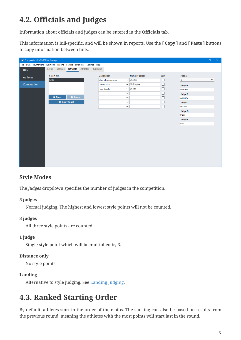# <span id="page-16-0"></span>**4.2. Officials and Judges**

Information about officials and judges can be entered in the **Officials** tab.

This information is hill-specific, and will be shown in reports. Use the **[ Copy ]** and **[ Paste ]** buttons to copy information between hills.

| $K$ Competition (01/01/2021) - K-Jump                                    |                    |                 |                                          |  |                      |              |                    |        |                | $\Box$       | $\times$ |
|--------------------------------------------------------------------------|--------------------|-----------------|------------------------------------------|--|----------------------|--------------|--------------------|--------|----------------|--------------|----------|
| File Data Tournament Functions Reports Servers Live-ticker Settings Help |                    |                 |                                          |  |                      |              |                    |        |                |              |          |
| <b>Hills</b>                                                             |                    |                 | Setup Classes Officials Athletes Jumping |  |                      |              |                    |        |                |              |          |
| <b>Athletes</b>                                                          | <b>Select hill</b> |                 |                                          |  | <b>Designation</b>   |              | Name of person     | Jury   | Judges         |              |          |
|                                                                          | K100               |                 |                                          |  | Chief of competition | $\check{~}$  | Charles            | $\Box$ | 5              | $\checkmark$ |          |
| Competition                                                              |                    |                 |                                          |  | Coordinator          |              | $\vee$ Christopher | □      | <b>Judge A</b> |              |          |
|                                                                          |                    |                 |                                          |  | Race director        | $\check{~}$  | Daniel             | □      | Matthew        |              |          |
|                                                                          |                    |                 |                                          |  |                      | $\checkmark$ |                    | $\Box$ | <b>Judge B</b> |              |          |
|                                                                          |                    | <b>L</b> i Copy | <b>In</b> Paste                          |  |                      | $\check{~}$  |                    | □      | Anthony        |              |          |
|                                                                          |                    |                 | Copy to all                              |  |                      | $\checkmark$ |                    | □      | <b>Judge C</b> |              |          |
|                                                                          |                    |                 |                                          |  |                      | $\check{~}$  |                    | $\Box$ | Donald         |              |          |
|                                                                          |                    |                 |                                          |  |                      |              |                    |        | <b>Judge D</b> |              |          |
|                                                                          |                    |                 |                                          |  |                      |              |                    |        | Mark           |              |          |
|                                                                          |                    |                 |                                          |  |                      |              |                    |        | <b>Judge E</b> |              |          |
|                                                                          |                    |                 |                                          |  |                      |              |                    |        | Paul           |              |          |
|                                                                          |                    |                 |                                          |  |                      |              |                    |        |                |              |          |
|                                                                          |                    |                 |                                          |  |                      |              |                    |        |                |              |          |
|                                                                          |                    |                 |                                          |  |                      |              |                    |        |                |              |          |
|                                                                          |                    |                 |                                          |  |                      |              |                    |        |                |              |          |
|                                                                          |                    |                 |                                          |  |                      |              |                    |        |                |              |          |
|                                                                          |                    |                 |                                          |  |                      |              |                    |        |                |              |          |
|                                                                          |                    |                 |                                          |  |                      |              |                    |        |                |              |          |
|                                                                          |                    |                 |                                          |  |                      |              |                    |        |                |              |          |
|                                                                          |                    |                 |                                          |  |                      |              |                    |        |                |              |          |

### **Style Modes**

The *Judges* dropdown specifies the number of judges in the competition.

#### **5 judges**

Normal judging. The highest and lowest style points will not be counted.

#### **3 judges**

All three style points are counted.

#### **1 judge**

Single style point which will be multiplied by 3.

#### **Distance only**

No style points.

#### **Landing**

Alternative to style judging. See [Landing Judging.](#page-24-2)

# <span id="page-16-1"></span>**4.3. Ranked Starting Order**

By default, athletes start in the order of their bibs. The starting can also be based on results from the previous round, meaning the athletes with the most points will start last in the round.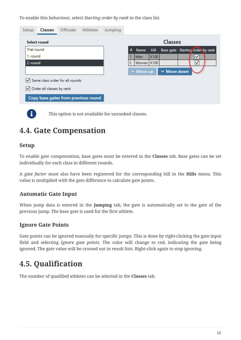To enable this behaviour, select *Starting order by rank* in the class list.

| Setup              | <b>Classes</b>            |                                     | <b>Officials</b> Athletes | Jumping |   |                 |      |                                  |   |  |
|--------------------|---------------------------|-------------------------------------|---------------------------|---------|---|-----------------|------|----------------------------------|---|--|
|                    | Select round              |                                     |                           |         |   |                 |      | <b>Classes</b>                   |   |  |
| <b>Trial round</b> |                           |                                     |                           |         | # | Name            | Hill | Base gate Starting order by rank |   |  |
| 1. round           |                           |                                     |                           |         |   | Men             | K100 |                                  | ✓ |  |
| 2. round           |                           |                                     |                           |         | 2 | Women K100      |      |                                  | ∨ |  |
|                    |                           |                                     |                           |         |   | $\land$ Move up |      | $\times$ Move down               |   |  |
|                    |                           | Same class order for all rounds     |                           |         |   |                 |      |                                  |   |  |
|                    | Order all classes by rank |                                     |                           |         |   |                 |      |                                  |   |  |
|                    |                           | Copy base gates from previous round |                           |         |   |                 |      |                                  |   |  |

This option is not available for unranked classes.

# <span id="page-17-0"></span>**4.4. Gate Compensation**

### **Setup**

To enable gate compensation, base gates must be entered in the **Classes** tab. Base gates can be set individually for each class in different rounds.

A *gate factor* must also have been registered for the corresponding hill in the **Hills** menu. This value is multiplied with the gate difference to calculate gate points.

### **Automatic Gate Input**

When jump data is entered in the **Jumping** tab, the gate is automatically set to the gate of the previous jump. The base gate is used for the first athlete.

### **Ignore Gate Points**

Gate points can be ignored manually for specific jumps. This is done by right-clicking the gate input field and selecting *Ignore gate points*. The color will change to red, indicating the gate being ignored. The gate value will be crossed out in result lists. Right-click again to stop ignoring.

# <span id="page-17-1"></span>**4.5. Qualification**

The number of qualified athletes can be selected in the **Classes** tab.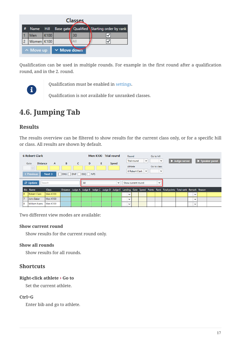| Classes |                                     |      |  |    |                                            |  |  |  |  |  |
|---------|-------------------------------------|------|--|----|--------------------------------------------|--|--|--|--|--|
|         | Name Hill                           |      |  |    | Base gate Qualified Starting order by rank |  |  |  |  |  |
|         | Men                                 | K100 |  | 30 |                                            |  |  |  |  |  |
|         | Women K100                          |      |  |    |                                            |  |  |  |  |  |
|         | $\vee$ Move down<br>$\land$ Move up |      |  |    |                                            |  |  |  |  |  |

Qualification can be used in multiple rounds. For example in the first round after a qualification round, and in the 2. round.



Qualification must be enabled in [settings](#page-23-1).

Qualification is not available for unranked classes.

# <span id="page-18-0"></span>**4.6. Jumping Tab**

### **Results**

The results overview can be filtered to show results for the current class only, or for a specific hill or class. All results are shown by default.

| <b>6 Robert Clark</b><br>Men K100 Trial round<br>Round<br>Go to hill<br>Speaker panel<br><b>Trial round</b><br>Judge server<br>$\check{ }$<br>$\check{ }$<br>$\overline{C}$<br>$\overline{B}$<br>A<br>D<br><b>Distance</b><br>E.<br>Speed<br>Gate<br>Athlete<br>Go to class<br>$\frac{\lambda}{\sqrt{2}}$<br>6 Robert Clark<br>$\check{ }$<br>$\checkmark$<br>$\Box$ DNS $\Box$ DNF $\Box$ DSQ $\Box$ NPS<br>< Previous<br>Next > |                           |              |  |  |  |                     |  |  |              |  |                                   |  |  |                                                                                                                       |  |              |  |  |
|-----------------------------------------------------------------------------------------------------------------------------------------------------------------------------------------------------------------------------------------------------------------------------------------------------------------------------------------------------------------------------------------------------------------------------------|---------------------------|--------------|--|--|--|---------------------|--|--|--------------|--|-----------------------------------|--|--|-----------------------------------------------------------------------------------------------------------------------|--|--------------|--|--|
|                                                                                                                                                                                                                                                                                                                                                                                                                                   | <b>C</b> Update<br>Search |              |  |  |  | All<br>$\checkmark$ |  |  |              |  | Show current round<br>$\check{ }$ |  |  |                                                                                                                       |  |              |  |  |
|                                                                                                                                                                                                                                                                                                                                                                                                                                   | <b>Bib</b> Name           | <b>Class</b> |  |  |  |                     |  |  |              |  |                                   |  |  | Distance Judge A Judge B Judge C Judge D Judge E Landing Gate Speed Points Rank Total points Total rank Remark Reason |  |              |  |  |
| 6                                                                                                                                                                                                                                                                                                                                                                                                                                 | Robert Clark              | Men K100     |  |  |  |                     |  |  | $\checkmark$ |  |                                   |  |  |                                                                                                                       |  | $\checkmark$ |  |  |
| 7                                                                                                                                                                                                                                                                                                                                                                                                                                 | John Baker                | Men K100     |  |  |  |                     |  |  | $\checkmark$ |  |                                   |  |  |                                                                                                                       |  | $\checkmark$ |  |  |
| 8                                                                                                                                                                                                                                                                                                                                                                                                                                 | <b>William Evans</b>      | Men K100     |  |  |  |                     |  |  | $\check{ }$  |  |                                   |  |  |                                                                                                                       |  | $\check{ }$  |  |  |

Two different view modes are available:

#### **Show current round**

Show results for the current round only.

#### **Show all rounds**

Show results for all rounds.

### **Shortcuts**

#### **Right-click athlete › Go to**

Set the current athlete.

#### **Ctrl+G**

Enter bib and go to athlete.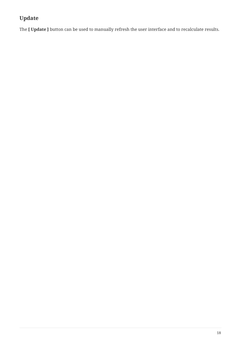## **Update**

The **[ Update ]** button can be used to manually refresh the user interface and to recalculate results.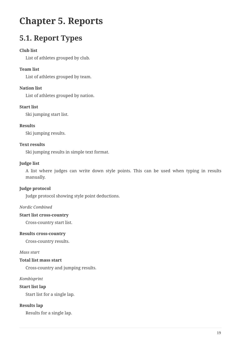# <span id="page-20-0"></span>**Chapter 5. Reports**

# <span id="page-20-1"></span>**5.1. Report Types**

#### **Club list**

List of athletes grouped by club.

#### **Team list**

List of athletes grouped by team.

#### **Nation list**

List of athletes grouped by nation.

#### **Start list**

Ski jumping start list.

#### **Results**

Ski jumping results.

#### **Text results**

Ski jumping results in simple text format.

#### **Judge list**

A list where judges can write down style points. This can be used when typing in results manually.

#### **Judge protocol**

Judge protocol showing style point deductions.

#### *Nordic Combined*

#### **Start list cross-country**

Cross-country start list.

#### **Results cross-country**

Cross-country results.

#### *Mass start*

#### **Total list mass start**

Cross-country and jumping results.

#### *Kombisprint*

**Start list lap**

Start list for a single lap.

#### **Results lap**

Results for a single lap.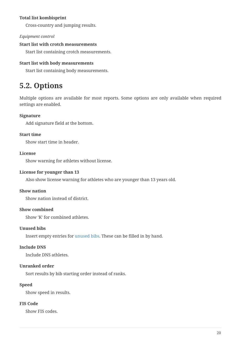#### **Total list kombisprint**

Cross-country and jumping results.

#### *Equipment control*

#### **Start list with crotch measurements**

Start list containing crotch measurements.

#### **Start list with body measurements**

Start list containing body measurements.

## <span id="page-21-0"></span>**5.2. Options**

Multiple options are available for most reports. Some options are only available when required settings are enabled.

#### **Signature**

Add signature field at the bottom.

#### **Start time**

Show start time in header.

#### **License**

Show warning for athletes without license.

#### **License for younger than 13**

Also show license warning for athletes who are younger than 13 years old.

#### **Show nation**

Show nation instead of district.

#### **Show combined**

Show 'K' for combined athletes.

#### **Unused bibs**

Insert empty entries for [unused bibs](#page-15-2). These can be filled in by hand.

#### **Include DNS**

Include DNS athletes.

#### **Unranked order**

Sort results by bib starting order instead of ranks.

#### **Speed**

Show speed in results.

#### **FIS Code**

Show FIS codes.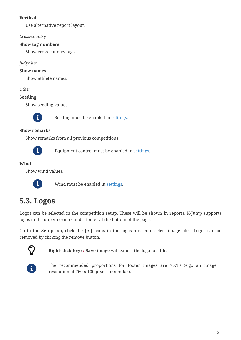#### **Vertical**

Use alternative report layout.

### *Cross-country*

### **Show tag numbers**

Show cross-country tags.

*Judge list*

### **Show names**

Show athlete names.

*Other*

### **Seeding**

Show seeding values.



 $\mathbf{S}$  Seeding must be enabled in [settings](#page-23-1).

#### **Show remarks**

Show remarks from all previous competitions.



Equipment control must be enabled in [settings](#page-23-1).

#### **Wind**

Show wind values.



Wind must be enabled in [settings.](#page-23-1)

## <span id="page-22-0"></span>**5.3. Logos**

Logos can be selected in the competition setup. These will be shown in reports. K-Jump supports logos in the upper corners and a footer at the bottom of the page.

Go to the **Setup** tab, click the **[ + ]** icons in the logos area and select image files. Logos can be removed by clicking the remove button.



**Right-click logo › Save image** will export the logo to a file.



The recommended proportions for footer images are 76:10 (e.g., an image resolution of 760 x 100 pixels or similar).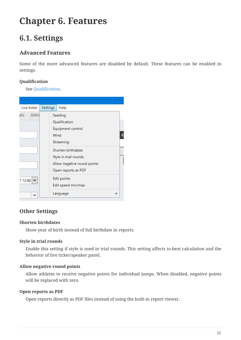# <span id="page-23-0"></span>**Chapter 6. Features**

# <span id="page-23-1"></span>**6.1. Settings**

### **Advanced Features**

Some of the more advanced features are disabled by default. These features can be enabled in settings.

#### **Qualification**

See [Qualification](#page-17-1).

|                | Live ticker        |             |                     |                             |  |  |  |  |  |  |
|----------------|--------------------|-------------|---------------------|-----------------------------|--|--|--|--|--|--|
|                |                    |             | Settings<br>Help    |                             |  |  |  |  |  |  |
| als            | Athle              |             | Seeding             |                             |  |  |  |  |  |  |
|                |                    |             |                     | Oualification               |  |  |  |  |  |  |
|                |                    |             |                     | Equipment control           |  |  |  |  |  |  |
|                |                    |             | Wind                | R                           |  |  |  |  |  |  |
|                |                    |             |                     | Streaming                   |  |  |  |  |  |  |
|                |                    |             |                     | Shorten birthdates          |  |  |  |  |  |  |
|                |                    |             |                     | Style in trial rounds       |  |  |  |  |  |  |
|                |                    |             |                     | Allow negative round points |  |  |  |  |  |  |
|                |                    |             | Open reports as PDF |                             |  |  |  |  |  |  |
| 1 12:00 $\sim$ |                    | Edit points |                     |                             |  |  |  |  |  |  |
|                | Edit speed min/max |             |                     |                             |  |  |  |  |  |  |
|                | $\check{ }$        |             |                     | Language                    |  |  |  |  |  |  |

### <span id="page-23-2"></span>**Other Settings**

#### **Shorten birthdates**

Show year of birth instead of full birthdate in reports.

#### **Style in trial rounds**

Enable this setting if style is used in trial rounds. This setting affects to-beat calculation and the behavior of live ticker/speaker panel.

#### **Allow negative round points**

Allow athletes to receive negative points for individual jumps. When disabled, negative points will be replaced with zero.

#### **Open reports as PDF**

Open reports directly as PDF files instead of using the built-in report viewer.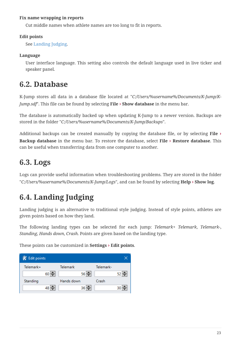#### **Fix name wrapping in reports**

Cut middle names when athlete names are too long to fit in reports.

#### **Edit points**

See [Landing Judging](#page-24-2).

#### **Language**

User interface language. This setting also controls the default language used in live ticker and speaker panel.

## <span id="page-24-0"></span>**6.2. Database**

K-Jump stores all data in a database file located at "*C:/Users/%username%/Documents/K-Jump/K-Jump.sdf*". This file can be found by selecting **File › Show database** in the menu bar.

The database is automatically backed up when updating K-Jump to a newer version. Backups are stored in the folder "*C:/Users/%username%/Documents/K-Jump/Backups*".

Additional backups can be created manually by copying the database file, or by selecting **File › Backup database** in the menu bar. To restore the database, select **File › Restore database**. This can be useful when transferring data from one computer to another.

# <span id="page-24-1"></span>**6.3. Logs**

Logs can provide useful information when troubleshooting problems. They are stored in the folder "*C:/Users/%username%/Documents/K-Jump/Logs*", and can be found by selecting **Help › Show log**.

# <span id="page-24-2"></span>**6.4. Landing Judging**

Landing judging is an alternative to traditional style judging. Instead of style points, athletes are given points based on how they land.

The following landing types can be selected for each jump: *Telemark+ Telemark*, *Telemark-*, *Standing*, *Hands down*, *Crash*. Points are given based on the landing type.

These points can be customized in **Settings › Edit points**.

| $\kappa$ Edit points |                  |            |           |      |
|----------------------|------------------|------------|-----------|------|
| Telemark+            |                  | Telemark   | Telemark- |      |
|                      | 60 승             | 56 승       |           | 52 승 |
| Standing             |                  | Hands down | Crash     |      |
|                      | $48 \rightarrow$ | $36 -$     |           | 30 승 |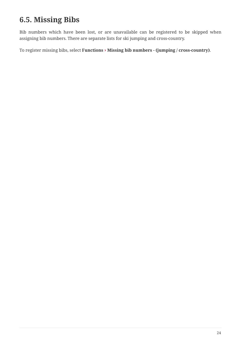# <span id="page-25-0"></span>**6.5. Missing Bibs**

Bib numbers which have been lost, or are unavailable can be registered to be skipped when assigning bib numbers. There are separate lists for ski jumping and cross-country.

To register missing bibs, select **Functions › Missing bib numbers - (jumping / cross-country)**.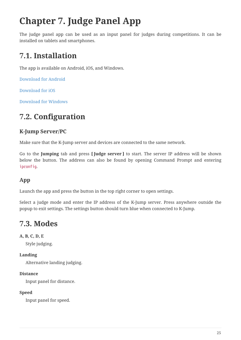# <span id="page-26-0"></span>**Chapter 7. Judge Panel App**

The judge panel app can be used as an input panel for judges during competitions. It can be installed on tablets and smartphones.

# <span id="page-26-1"></span>**7.1. Installation**

The app is available on Android, iOS, and Windows.

[Download for Android](https://kjump.no/api/redirect?page=app-android)

[Download for iOS](https://kjump.no/api/redirect?page=app-ios)

[Download for Windows](https://kjump.no/api/redirect?page=app-windows)

# <span id="page-26-2"></span>**7.2. Configuration**

## **K-Jump Server/PC**

Make sure that the K-Jump server and devices are connected to the same network.

Go to the **Jumping** tab and press **[ Judge server ]** to start. The server IP address will be shown below the button. The address can also be found by opening Command Prompt and entering ipconfig.

### **App**

Launch the app and press the button in the top right corner to open settings.

Select a judge mode and enter the IP address of the K-Jump server. Press anywhere outside the popup to exit settings. The settings button should turn blue when connected to K-Jump.

# <span id="page-26-3"></span>**7.3. Modes**

### **A, B, C, D, E**

Style judging.

#### **Landing**

Alternative landing judging.

#### **Distance**

Input panel for distance.

### **Speed**

Input panel for speed.